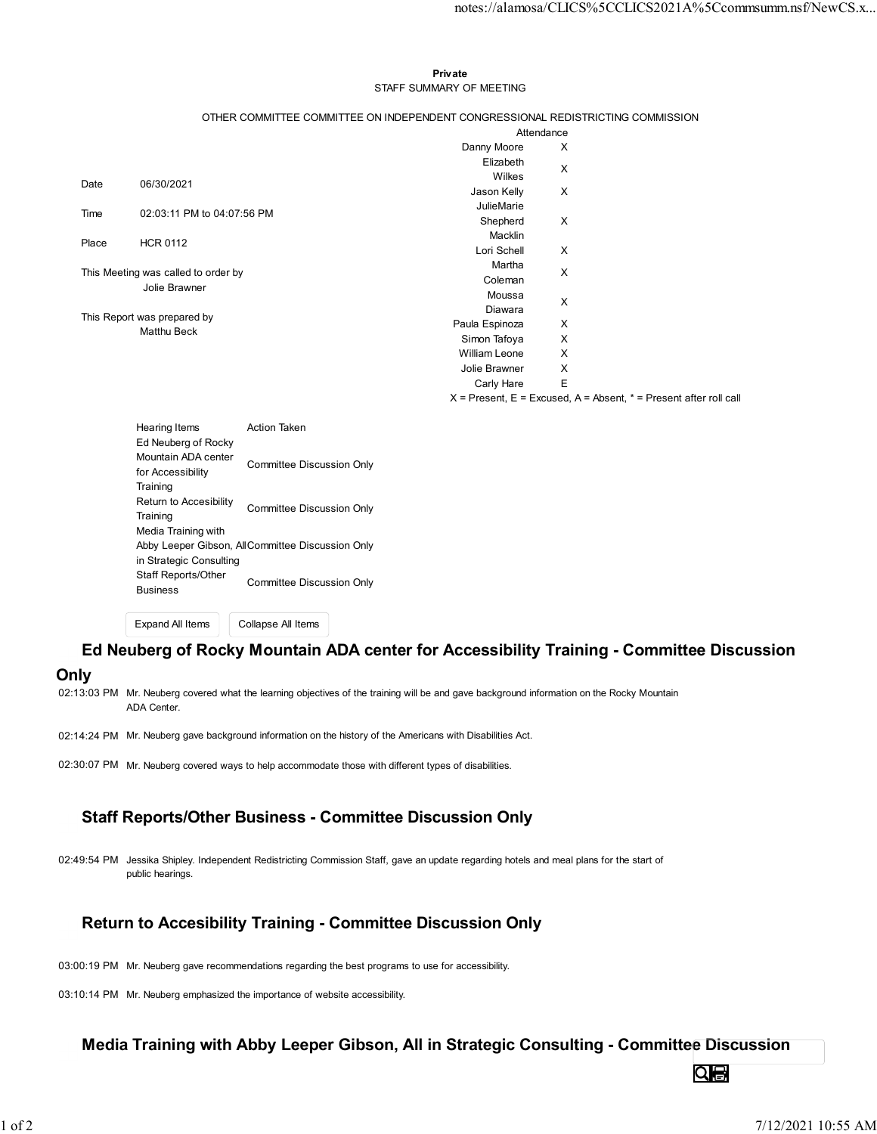#### Private **Private** and *Private* and *Private* and *Private* and *Private* and *Private* and *Private* and *Private* and *Private* and *Private* and *Private* and *Private* and *Private* and *Private* and *Private* and *Pri* STAFF SUMMARY OF MEETING

|       |                                     |                                                                                 |                                |            | notes://alamosa/CLICS%5CCLICS2021A%5Ccommsumm.nsf/NewCS.x             |  |
|-------|-------------------------------------|---------------------------------------------------------------------------------|--------------------------------|------------|-----------------------------------------------------------------------|--|
|       |                                     |                                                                                 |                                |            |                                                                       |  |
|       |                                     |                                                                                 |                                |            |                                                                       |  |
|       |                                     |                                                                                 |                                |            |                                                                       |  |
|       |                                     |                                                                                 | Private                        |            |                                                                       |  |
|       |                                     |                                                                                 | STAFF SUMMARY OF MEETING       |            |                                                                       |  |
|       |                                     |                                                                                 |                                |            |                                                                       |  |
|       |                                     | OTHER COMMITTEE COMMITTEE ON INDEPENDENT CONGRESSIONAL REDISTRICTING COMMISSION |                                | Attendance |                                                                       |  |
|       |                                     |                                                                                 | Danny Moore                    | X          |                                                                       |  |
|       |                                     |                                                                                 | Elizabeth                      |            |                                                                       |  |
| Date  | 06/30/2021                          |                                                                                 | Wilkes                         | X          |                                                                       |  |
|       |                                     |                                                                                 | Jason Kelly                    | X          |                                                                       |  |
| Time  | 02:03:11 PM to 04:07:56 PM          |                                                                                 | JulieMarie                     |            |                                                                       |  |
|       |                                     |                                                                                 | Shepherd                       | X          |                                                                       |  |
| Place | <b>HCR 0112</b>                     |                                                                                 | Macklin                        |            |                                                                       |  |
|       |                                     |                                                                                 | Lori Schell<br>Martha          | X          |                                                                       |  |
|       | This Meeting was called to order by |                                                                                 | Coleman                        | X          |                                                                       |  |
|       | Jolie Brawner                       |                                                                                 | Moussa                         |            |                                                                       |  |
|       | This Report was prepared by         |                                                                                 | Diawara                        | X          |                                                                       |  |
|       | Matthu Beck                         |                                                                                 | Paula Espinoza                 | X          |                                                                       |  |
|       |                                     |                                                                                 | Simon Tafoya                   | X          |                                                                       |  |
|       |                                     |                                                                                 | William Leone<br>Jolie Brawner | X<br>X     |                                                                       |  |
|       |                                     |                                                                                 | Carly Hare                     | E          |                                                                       |  |
|       |                                     |                                                                                 |                                |            | $X$ = Present, E = Excused, A = Absent, $*$ = Present after roll call |  |
|       |                                     |                                                                                 |                                |            |                                                                       |  |
|       | Hearing Items                       | Action Taken                                                                    |                                |            |                                                                       |  |
|       | Ed Neuberg of Rocky                 |                                                                                 |                                |            |                                                                       |  |
|       | Mountain ADA center                 | <b>Committee Discussion Only</b>                                                |                                |            |                                                                       |  |
|       | for Accessibility<br>Training       |                                                                                 |                                |            |                                                                       |  |
|       | Return to Accesibility              |                                                                                 |                                |            |                                                                       |  |
|       | Training                            | <b>Committee Discussion Only</b>                                                |                                |            |                                                                       |  |

| Hearing Items<br>Ed Neuberg of Rocky             | <b>Action Taken</b>       |  |  |  |  |  |  |
|--------------------------------------------------|---------------------------|--|--|--|--|--|--|
| Mountain ADA center<br>for Accessibility         | Committee Discussion Only |  |  |  |  |  |  |
| Training                                         |                           |  |  |  |  |  |  |
| Return to Accesibility                           | Committee Discussion Only |  |  |  |  |  |  |
| Training                                         |                           |  |  |  |  |  |  |
| Media Training with                              |                           |  |  |  |  |  |  |
| Abby Leeper Gibson, AllCommittee Discussion Only |                           |  |  |  |  |  |  |
| in Strategic Consulting                          |                           |  |  |  |  |  |  |
| Staff Reports/Other                              |                           |  |  |  |  |  |  |
| <b>Business</b>                                  | Committee Discussion Only |  |  |  |  |  |  |

Expand All Items Collapse All Items

Ed Neuberg of Rocky Mountain ADA center for Accessibility Training - Committee Discussion

#### **Only**

- 02:13:03 PM Mr. Neuberg covered what the learning objectives of the training will be and gave background information on the Rocky Mountain ADA Center.
- 02:14:24 PM Mr. Neuberg gave background information on the history of the Americans with Disabilities Act.
- 02:30:07 PM Mr. Neuberg covered ways to help accommodate those with different types of disabilities.

## Staff Reports/Other Business - Committee Discussion Only

02:49:54 PM Jessika Shipley. Independent Redistricting Commission Staff, gave an update regarding hotels and meal plans for the start of public hearings.

### Return to Accesibility Training - Committee Discussion Only

03:00:19 PM Mr. Neuberg gave recommendations regarding the best programs to use for accessibility.

03:10:14 PM Mr. Neuberg emphasized the importance of website accessibility.

Media Training with Abby Leeper Gibson, All in Strategic Consulting - Committee Discussion

**QB**